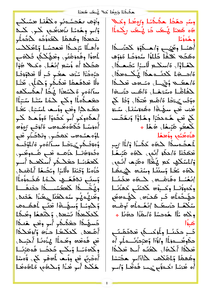هذَهُمًا وَرَهِقُوا خَلا لَمِيعًا هَعْمًا

وأوْها بِمُحِشَّابُو مَكَمُّلًا مِنْبَكْبِ وَّأْسِ وِهُدَمًا لَزُهَزَهُم لَكُنَّ كَلَمْكُمْ لَمَّ مْحَعَدًا وِهُعَمًا ۖ خَعَٰدَوُخُم ۖ خَزَخُم لُهِ وأهلًا عَبْدِكُمْ شَعْمِسًا وَلِمَحْكَنَبَ ـٱ۞وُۨٲ وٖڡٛۘۘڡٛۏۿؙٮؙؗڔ؞؋ۿڮؙٛػڲؙ؋ڡٞڬ۞ٮ هكَكُمْ أَهْ وُسْعِ إِنْهَا. مَكْلًا هُوْا دَّەدُتْا عُـْرَت حَمَّىرِ كَـرِ لَّا شَكَرَّوْدُـا ەلْا مْدْفَعْمَا مْدَّىدُر وَحْدَلَى. مَّتْـا معَلّاهُوم هَكْمُعَدَّا لَهُكُمْ أَحْكَمْمَكُنْ حقمأه أا وكح حدًا مَثَا مَتَبَا حعَّـه كِبَا وهَـــ ووُّــم المَّــْبَا. كَعُـا أَلْعَكُووكُمْ أَمْرٍ كُتُّدَوُّا ةَوِؤْلِهِمْ الْخُلْرِ أُەفِسُا كُلَّاھُەھُــەھــ ەُ/ۈتَــ رُوفُرُه لِمُوَمِعْتُونَ تَعْتَصُو. وَلَكَتَنُو هُمْ وُّەقِكُمْرِ كِۃتَـا مىـأَاەُەر ۋالمۇڭىــە ەئەۋەئىل خۇھىم شىئ ھىموھىر. كمعمّنها حعْدَهُرِ أُسكِعدَ أُسَر دُّوْما وَتَسْلَا ولَّامُ! وكَشَـمُا ٱلْمَقْلَمُ. وَمِيَنٍ يَدْهَمَــها مَدْمَا هُذُووْهاْ وهُتَبِ وَالْكَعِظَمَهِ وَالْحَدَفُ ا . مُكَمَّدُ انْتَصْرِ لْنَعْصُدُهُ بِرَوْمَرْنَهُمْ وَ وَجَدَوِيًا وَمِجْ ذَٰا هَيًا أَقْفَ مِنَ كْدْكْتْخْدَا بْشْعْدْ. وْݣْلْحْقْا وْهْيْمَا كُسوُّىدًا حقدَّىدُىر أَس وقْع هَندًا أَهَبِعِدِ. كَدَكْبِعُدا حِزْرَة وَاوْمَحِكْمَا هْمِ فُوهْدُ وِهُـواْلْ لِخُوسًا لِّدَيْـــدْ. وِكْلَاهُنْـا وُلْكُــمْ كُحْتُــزْ فُـهِ مَرْنُــا أُهضَنِّ هُم وِزَّىمَا لَمَهِ فَرِ كُلِّ. وُّهشا هَكُمْ أُسٍ هُـٰٓأَ وَّمِكْدَّهِۥ هَٰٓارَّةُوهُمْ أَ

ومَر حمَّحًا عَذَٰلًا وَوَقُا وَحَلا الْمِكْى سَفْسَ مَٰ شَعْبَ مَنْ الْمُعَهْ وهْدَوْمُا أهسًا وهَيْبِ وْاهْتُمْوَوْ كَدَّسْتُا ەھَكَىد ۞لاقْل كَلْلُؤُل مُدَوْحُـل وُوَوُف حَمَّارُوا. ةاسكـم لَّاكرا عَصَّمَا. ة/حـــةما للحنَـــمما ليُكْـــمعدًا. كَامْ مِعْكُمْ وَيْ إِلَى مَكْتُمَاتِهِ هُكْشَا لْحُفْلِقْلِ مِمْتِسْلٍ. هُ/هُـب حَبُّــ هُ/ ەۆِكْ كَى تْحَا هْ/هُىمْ هُتْدَا. وِّخَا كَى هُذِب هُم مِيهُــٰٓةُ | وَهُوَوِّمُنْـَا لِ مَمْـُوْو ݣُح مْحِ هُـٰمِحْدُرُا وِهَارْزَا وَبِعَضْتِ كْعْقُو هُبْمُا. هُمُا \* |هنُّوهُنُّوم ووُهما لْمَحْدَمِيكَا لِحْقَ كَكُبُراْ وْٱلْمَارْضِ هْتّْقَدّْلَا هُ/حكّْوْ أَنُّوي. حَلّْهُو هُبُعُمْل وْ/السَّكْلِي كُمْ لِمُغْذَالِ وهُرْهَا أَنَّبِي . لمفدركه متئم بالمنسخ لمنه متمك إِنْهُنُما وَفَزِقَمِهِ بِهِ حَمْدَهُ مِنْهُمُمَا وكُدووُّلْسا وكُسروْه للْحَنْفُ لَدَوُّسًا } حكَمحْمَاه كَمْ هَدْرُهِ. كَكَّدُهِ مَكْمًا حَزْمِكُمْ إِنْمُّےلُّہِ أَوِهْدِ وِكْلَا عُلَّا هُوَجِسًا وَٱمْتُوَٰٓرًا حَلَّىٰٓا ﴾ ۿڔۏؙٛٳ كُبِ حكْسُلٍ ولُوْكَسِـكُو هَدَكَمَّسَـع حكْوِهُـــوفِـاًا واوّْآا وُهرَجْزُنُـــوالر أَه قَعِلْمًا أَجْدَهَا. حَقُنُه أَحْمَ قَعِلْمًا وهُهمًا وَاهَدْهَا حَبَّاٱاْسِ هَتَّتْسَا أُه هُزْسًا اخْدَقَّى يَهْدَ فَّدَشَّا وَّاسِرِ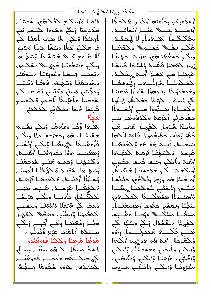هلَمامًا وَرَهِقُدا كَمَلا لِمُعظَمَد هَفَعَمًا

ةاهُا ةاسكُم لمثَكِّشُوبِ هُوسْنَا هَذَكَرُكُنَا وُحَكٍّ مصَّدُا كَسَفْا هُم لَمُوَحَبُدًا وَّحَكَّى. وَلَا هُــزَبَ لِمَصْلِ كَــَعْ كَ مِكْتُبٌ كُولًا مِتْغًا جَبْتًا وَتَبْتَرَا أَلَّا هُــو كَــلا هَتَنصُّـوْلَ وَتَنَهُــوْهَ ا وُكُم مَتْعُمْسَا حُدِّكُمْ تَمُكُمْهِ. وتعصُّب وَّحْمَد مَدْووُتْ مِنْدَهْدًا معُّەحعُنُـل وُسْمُـةا هُوْحُـل هُتَمْتَـل وَكِلَّدُمِ وَسَلَّ وَكَنَّتَهِم نَصْف كُلْر ِ هُوَ*مِنْا* وَأُوَمِّكُ*ا ٱلْأَحْ*وِرِ وَكَأَوْمِنُـرِ هُبِنَعُا هُمُا حثَكْرَكُمْ لَحُلُقِيَّةٍ \* تحجءُّا كَلُّـهُا وَّكُـا هِ قُوْهَا وَّكِي تَعْـهِـد همَّسُــا. ۞ه وكَعرِّحزُتُــهاَا وُــكـــر فَنُوهُنَدُا حَيْنَ الْمُنْسَرَ الْمُنْسَا وَهِعَكَمَــب هؤا حَثَّوةِهُنْــا أَهُـــــــمْ. ةتحمَّهُمْا وَحكَّم هَدُسٍ هُمِحِمَٰنًا وَتَنَجُّدُهُ الْمُحْتَنَّةُ مُحَجُّجُتُنَا لِلُّوْمِنُنَا وَحِدُوُا أَهِنَيكَ. هَكَعُدَهَا أَوْهِكَ. هَ حَدَّمَةً اللَّهُ عَبْدَ الْمُسْتَرِيمِ هُدَيْنَ ا لْللنَّــٰفَلَّٰہٖ حَزْہمْـٰل وَّـنْـُــرِ هَزَـٰمَـٰل ەُحثَر كُمْ ھَتطَّا ہُاہُۃتا وُسُمِسَّى كُدهُومُا وُاعفُو. وهُدْلًا كَحْدِءُا هُنُـا وِحْقَعْـا وِمْـــم أُنْزَـُـا وُحْـــم هسَّنكْدًا ٱلمَّنَّد هزْم وَّحْملُر \* هُوهُا هُرِهِمُا وِكْلُمَا فُزوهُنُومِ لْمَحْــومِيدًا. كَــْرَة مِمْتُنْـا وِمْــأَو كَيحُبْكَتْهُ مُحْشَبٌ فُومُنُــا لَكْتُنَدُّهُ . لَاهُ مُحُّدِهُا مُحِيَّةُ ا

أهكُووكو ودُوْدَه أَسكَسو هَكْصَدًا أُوْهَبِ \$ كَنْبِ كَعُنُ أَرْتُغَائِبُ \$ . ەھَكْكْداْ كْلا شَەلُر لْا نْحِكْA. هُكُــرٍ بِفَــلا كَـعيْــه لَا هَـلْحْتِتْــل وَّىكُــرِ كَـععُدُهَّتــرُهُ مِ هَزَـــدٌ. حَهَّىئُـا أَسْهَدَ الْمَسْلَمِ مُسَلِّمًا مَا أَسْرَحْ الْمُسَامَلَةِ مِنْ الْمَسْرَحَةِ هَبِمُنَا هَــمٍ كَـصَـٰرُا أَبِــمِ كَحَــُـم، لحَمَنُكُومُنَا حَرِّزْ أُسْدُهِ وَلِمُّوَهُمَا ۖ وهَٰدهُدوَٱ داُ وَشَدْهُوْا ۖ هُزۡتُوا هَٰدَمَنَا ۖ كُمْ الْمَـٰءَا. كَتِـٰدًا حَعْكَمُ لِيَّذِهِ ا كَتْصَاوْا هُــتُووْا هْبِ إِنْفُــواْ حفُّوعبُنُو أَخْرَهِمْ وكُلاهُوهُما حَسْرِ مِبِّرْسَةً لَهُجُوْلَى حَقِّي أَلْمَ هُزَاءَ هُبِ حُكُوْ وَهِنَى حِكْوِهُووَلًا هَامَد لِلْكَرْهَا ئشعـــم. أُبِـــمْ هُو هُو وَلِحَعْدَهَــا هُبِعِهِ. هَجْسُوُتْهُ أَوْهِمْ كُحَبُّحُوا أَهُدا هلَّاحْلَى وضُف شُنف حَضَّبُنى أَسكَعده. كُـر مْدْكَعفُـا هُنْكَــدُّر أَه هُٰذِيُا هُه وِرُبَّا وِثَـٰلاَهُم حَتَّنَـٰعُـا انْمْعَى لِنْتْمَاءَ مِنْهَ لِمَسْ لِمَسْتَمَامٍ هُ/هِنَـهِ] مَعْمَلِكُمْ لَا لِكُلْمِوْهِ مَكَوُّتًا وِيُعِمَّى حَكَّوْكُمْ وَهَزَّمْهُنَّدَاُنِ ەمئىھ لەمنى كەنگە دۆكسل دەئىھ لِحَقِّيةَ الْمَقْفَكَ الْمَقْفَاءِ كَمَعَ مَنْ مِنْهُمْ قىــــــــ ئَـُـــــــــة مَّــدَـــُرْئـــــــه أَا وِهَه وَحْقُوحُلا. أَبِي هُو هُو يَهْدَ أَحْدَهُ! وَٱلْكُلُّحِ وِلۡلِّكَنِي وَقُعۡصَنُكُمۡ وَٱلۡكُلَّـعِ وَٱكْتُبِي. ٥/هنْدَا وَٱسْكَبِ وَحَتَّبَهُبِ. ەڭدۇەكىل ۋايىلىپ ۋاڭىزىپ خىرۇەت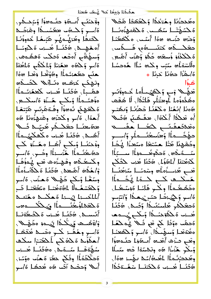هلَمطُمُّا وَرُهطُا كَمَلا لِمُعطَّد هَعمُا

وِتْحِنْتُم أَسْتَهْوَ حَشَّەْهُوا وَّعَ ِحَـٰكُمْنِ. ة/سو وُلِسطات محكَّسُسكَا وِعْزَصَٰهَا لِكْتَبِعًا وِهَٰزِيُّے ٰ رُبِّ هُرَ هُمَا ۚ خُووُنُـٰا أُه هُجِيءَ. هُكَنُسا هُـــزب هَكْزُوِيُسا وَسَوْتَهُم أَهْتُمْ هُنْكُمْ هُفْقُومًا. ەُاس وَلاھَا ھَمَّنْنَا وَلَمْلاَمٌا مَلَقْتَا هلّم حعّم:حُماًا وِهَوُقْدا وَهُدا هوَا وِنْهِكُم كُنْڤ ه مَسْأَلُكَ لِكَسْلَاتِهِ ههَّبِهُ. هُكَسُّا هُـنِي كَعِمَٰنَـمِلَا ەؤقئىمال ۇنگىم ئىس ۋە ئاسىگىز. هَ كَعْدِكُمْ نُهِ هُوْا وِفٌـتَمَامِنُـرِ هَبُنَـهَـا أهمًا. وَأَسِ وِكُحْرَه وِهْلِهِ زَوْلَ وَهُ هةمعنًا حقلتم مَّربَة شَبَّ أَهْمِدْ. هُكْسُا هُـز، هَكْفَكْيُـماُا ووْحِنُسًا وَجِحْبٍ أَهْلِ مِمْنُوْ كَبِ دهَٰىعُنُـداُ أَحَمُّ زاٰ وِحُــرٍ. هَا صَـرٍ وللىعْـدُاھ وقـهــنُوھ ھَــع يُـْووُفُــا وْاْهُكُلُّ أَهُبْعِدًا. شُكْسُلُ هَ لِكُلَّاسُوْهِ أَل ومَعْقَا وُمِكَمْ كَهْلًا هُمُّت وَهْلَا بِهِ وَحْظَنَتْ هُـ مَا أَوْقَوْهَـ لَمَعْقَدَا حَــر ممستقره ممسكم فالمسرع لمنسندلمل هُ لِمَعْمَلَؤُ مِعْنٌ مِمْ الْمِيْلِكُلْمَ وَمِنْ أَتُسط. هُكَنُا هُـنِي هَكْتُمَتْقَالِ وْاوْهُـــت فِي تُكْــدُا إِنَّـــدَهِ مَكْهَــلا . ةاسر وهُفَّ: كُبر هِصْـه هُتّْشَا أهدَّوَّىدا هَ لِاهُ كُنبِ لَمَحْتَبَالِ مِكْتَ مُعَهُّدَفَــا مُحْــدُمِدْ. ٥٥كُنُــا هُـــزم هُحِنَّكُمُلًا وِثَّكُمْ حَظَّرْ هُحِزًى وَوَّعُـٰزَ. أَملا وُحصَّدْ أَكُب هُء هُدهُمْ هَامِ

وهُدحَٰٓئِلُ وِـهُـٰٓتِكُمُّا وَ كِحُقِوْا هُـصَلا ەْكْتَكْتْبَا مْغْفْ بْ حْقْبْدْتُوسُار وَحْزَه حَزَمه هوا أَمِّم، وكَتَفِعَمُا حفلا مُ مَتْنَسْمُ وَهُ مَسْلَمِسٌ. ەَ لِلْكُلُوْ وُسِعْدِهِ حُكُوْ وُهِنَى أُهُبِهِ. ولَانتهْلُو مِنْدُ وِكْلُو بُالْ هُوَجِبُنَا هُ/حَمُّ:ا حدُنَا تَدِبُّا \* **ئېۋا** تَعَوُّــٰ ﴾ وَــبِ وَحَكَيْمَــأَه السَّــهِ وَتُسُر ەھُۮٞۏۘٛٵ؞ڵٛٳۅڡڗؙٛٵؙڔ۞ڟڗؙۮٳ؊ڷٳ؞ۿڡٛڡؗ هَٰوَىٰلَ إِنْعُنَا وَكَعُنُـلٍ شَعْزُنُـلٍ وَبِـعَيْبٍ أَه مْلِكُمْا أَكْلَهُا. هفَىقُىبٌ هُضُلًا ەھْلاَكْمَفَّىنَـــ حْمَٰقُـــا مَفَــــــــلا حدُثُ حالَمٌ وَهُنَمعُكُ حامُرٍ وَاسِبِ وحُهْمِىُا هَٰنَٰا حِسَّتِهَا مِمَعِـٰٓا لِمُحَا مَّــــــةَ حْمَاءِ وَ حَكَمٍ هُــــــــومُ الصَّــــــــمَ الْمَ ِكْرِهَتِتَا ٱلْمَوَّلُ. هُكَنُا هُـزِبِ لِكَثَّكِي قب هُنسأه أه وسْمئسا مُنهُنسا هُسْلَاتٍ كَلَّى حَلْمًا هُشُّلْمَا ەكھُىھُـەلُا وڭــر ھُائــا ەُوْمُىھُــا. ة/سو وَجْهَدَكُمْ حَسْرِ يَحْمَلُ وَٱتَّزِسُو ەَحْتَكْلُم هُامىنْىُـدًا وِّتَــد. ھُكَـُـل هُــز، هَـٰذَهُوَدَـٰدُا وُٓئُــحُ يُـــهِ ەُحصًّ ەوۡدًا نَحۡ شَعِ شَـٰلاً ۖ يُـۡمَـٰـٰهَـٰا ەھْتەھْل ۆمىمْسىدا. ەاسىر ۆلكىھىل وقب منْزَها أَهْده أَسْتَغْوَا مِنُدْهِوْا وَّىلُو هَٰٓئُمَّا هَ وِتَكْمَدْا دُه مَّىلًا وهُدحرُنَّـه اُل اهُدهُ/سُّـه بِهُــزِ هِهُ اِ وَكَنُــل هُـــزب هَــلكَنتَــل سَـمُّــتَوَكُمُل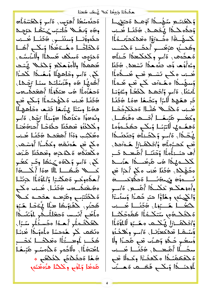هذُماُمُا وَرُوهُا كَلا لِمُعَكِّدٍ هَعْمَا

ەَحشَمْتُكَا أُهرِّمِى. ەُ، ﴿ وَكَكْسَمَالِهِ وهُو وُبِّكُمْ خَاتِبَتِ حَمَّقْهِ حَرَجِهِ حَدَّه؋ڗۢڷ؊؋ٚٮٮڷؙڵ؈ؚ؞۞۠ڬڷ؊؇ڞڂ هَ حَدَّاتٌ لَم مَّـ ةَهُدًا مَجِّحَبٍ أَهُــا هُحرُّوت هُمكُف هُمملُمَّا وِلَٱمَّ مُشَـه. هُعِمِدًا وِالْمَوْحِكُمِ وَحَدْكُمْ لَمُحْتَ كُلِّ. ةُامِر وِتْلِعَهْلًا وُحِمْدُا كَدْرًا أَهْمَلُ 60 وكُمُلُكُمْ مِمْا رُجْهَا. ەَحمَّزُه اُلَّ هُ مَكَلَّوْ اُلَّ اُهْتَحِكَّ و هُكُنُا هُـ: هَ حَجُحُدٌ هَاْ وَجَحْعِ هُمِ هؤه المستقل المستقل أشهر المستقلة والمستقلة ومنشأ ومنشأ ومنشأ وِنُوهُوْا وَيُدَّهَدُا هُوَّىزْلًا رُّتِّهْ. ݣَامِر ولُكْحُرُو مُعصَّلًا حثَّةهَا أَحتِرْهُ مُحَا ههَكْبُب وْهُۥُّا أُههْدِهِ هُكْسًا هُـزْب ه كَمْ هُوَ مُفَاتُوْهِ وَكُلُّمَةُ أَوْسُمْهِ. مكعنكُم مُكْمَدِه وِتَعْمَدُا هُنْمَ كُمْ. ةَاسْ وَلَحْقَهِ يُمْتُعَا وِصٍّ لَمَعْس أهكُووكبر ةهكتْبْ وُالمُؤْهُلًا حِبْتُنَا ەھْتقىكْسەت ھُكْسًا. ھُتەت مْكَن هَ لَمَكْتَبْبٍ وِكَبْرَهـــه مَقْصــه كَمــلًا هُدُرٍ. لَكَنْزَمِهُا هِـلًا إِنْقَصَا هَـُرْوَ دِلْمُبِ أَنَّىــب هُجَعْلِلُمــدُّبِ لِمُّنْكُمُّا لِكَلَّكُمْ لَمْ الْحَمَّا وَكُسْلَأْلِرْ مَنْهُ إِ. ەئھما خُر خُوصمًا مأەوَّىدًا ھُزمًا هُكَـــز ـأوهــــتْدُّا وشَكْتُـــا حُتّــــر لمُتمَلًا. ەلَّاخُەر ەْلأەمىر ھَبْعَا ھُمُّا ہُحثُّلاَضٌ لِلنُلاَثُمِ \* هُوهُا وُلْمُو وِلْكُمُ فُوُهُوْم

وَحْقَدَتُـم مَّجُسِـدًا آوْهـد هَجَوْيَـا وَحِدُّه حَــدًا لَمُحْمَدٍ. هُكَنُــا هُــزم كْمِدِيُّ رَةًا وَدُّےرُوَّا وَهُدَكُحَرُّكَ الْمَ وهُدخُ، هزْهُمسر أَحدٌ : هَ حَسَّس ەْھشەھ : ەُمْس وڭلگىغدا شَزْلُرە وِثَهِ/ُوُبِ وَجِدٍ حَنَّهُ هِجُلٌ يُسْعِدُ. ﴿ وَكُنُلُ هُــز، وكُـــو رُسْــو هُـــو هُـــدُومُا وَسَهَّىدًا مَعَّمَّدَ كَعَ هُوَ هُدَاً! أَلْئِنًا. هَامِرٍ وَٱدْهِـدْ لَلْكُعَا وِثَةَوُسَا دِّ هِمَّهُمْ لَأَبْرَا وِحْشُمًا «هُا «هُدَّنَا هُــزِــ هَــْكُــهُ هُتْـال هُحِنْكُرِكُـثَــا وكعُـــو هَزَيمُـــا أَتْـــعه هفَزِهُـــا. هُهِمُـهِ﴾ لَٱتبْـُـا وُـكْـع حَـمُدُّـهِؤُها لُخَـدًا. ة/سو وَححَـزاًهَ وَصَحْنُـدًا هْمِ كَحِبُّوءُاهِ وُٱتْحَكَّمْزَلَ هَـٰهَٱحِكَ. أُفَّ حِنْــزَاْهِ أُلَّ أَيْتَنَبَّــا أَهَّىعِــدا ضَــر كمستمْع الْمُسْمَدِهُمْ الْمَوْسَسِكَمَّا مُؤْسِسِكَة ەكَهْلاك. «ْكْنُا هُن مْكُمْ أَحْرَا شَى شَــــهُوهُ مِنْ مِهْمَمُــــــــــــــهُ مَكْوَيْـــــــــهُ وأدوهك وتككل أهُسون واسو وَاكْحِيشُو وِهَاوْا حَيْرٍ حَمَدُا وَسِلَمَتْنَا لكَعْفَ لَمْ مُجْمَدٍ. هُكَنُا هُـــزب هَ لِمُثْلِ هُورٍ مُتَكَلِّهُ أَا هُهُوَدُكْمَا وُاصْحَهَ زَلَ مِنْكَ مَعْ بَوْ لَالرَّهُمَا وَّمَّىهْا هْلاَكْعِتُرْهَا. ݣَاسِر وِكْلْخُلُوْ ؤُمعكُــرٍ شُــكُوْ وَّهــرَّب هَــع هَـْــرَٰا وِلَا محكُما أَهُبعِيهِ. هُكْنُسا هُسِنِت هَ حَقَقَعُنُـهُا مَكَعَثَـٰٓا وِحَـٰمُلَا شَـٰمِ لَمُوَحَدُ الْأَوْلَىٰ وَحَدَثَتَ وَحَدَثَتَ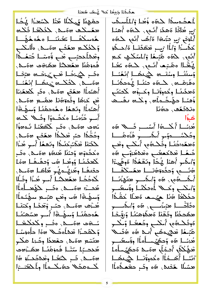هدَّمَنْ وَرَوهُا حُلا يُمعَّد هُعْدُ

حفها أشعننا الثة الأكررة النهقء همّسلُك «ەَئىلى: ݣْݣْلْكْلْ ئْكْلُمْ هُومِيكُوُّ لِمَحْمَنُهُ لِمَعْهُوُّ لِم وَكْلُكُمْ هُمُتُمْ هِهَ مَكْ. هَلَا تَكْسِعْ وهْكَلُدْدَبُبِ هُبِ وُّەسْلا خُنْصُـٰدًا فُەزمُىُل ھەھلىگا ھىھزەھ ھەسلا. وضَرِ لِمَجْ زَحْمِ لِمَ رَحْمِ مِنْ رَحْمِ مِنْ رَحْمِ مِنْ رَحْمِ أَهْتُماُ الْمَعْضَ (20 مِلْ). وَكَرِ كَلْعَجَّرْءُ هْمِ كَبْعُا وِثُّەوْشْلْ هِمَّىــْ «ەَمْــدْ. أَهْدُماْ وِنَعْمَا مِعْمَحِمُنَا وَسِجْتُوْا أسر دُزُهمُا همُدَّےوُا وِئَــلا كَــد مُهدَ ههُدُ فَي كُنْفَعَمُمُ لَـهُ هُوَ وحُثُّهُا حَبْ مْكَمُّا همَّتْ 5% هُ. لِكْتَنَا مْكَدِّكِنُكُما وِتَعِمًا أَسِرٍ مُدَّا ەڭخۇۋە ۆتىئا ھُلھۇ ھۇسى ەڭر لْمَعْدَّسُا وَوِهُما هُ۔ وَحصَّصًا هَا حثَىفُـا وِهَٰزِيُّــهِ بُر هَٰاهَـا «هَـــد. كُدْدُٰـا محَمْعَـٰدَـٰا أُسـرِ مُـٰزًا وِثْـلًا هُدِسْنَ هؤسِيمَ. وَكُبِرِ لِلْهُعِسَاْوِيُمَا وَسَمَّاتُهُ أَمُّدَ وَقَبِي هَبِّيهِ سَمُّتُمَلَّا هُــْوَم هِمَـــمْ. حَمّــرِ وْتَعَـدْلِ وِكَتَتْلَـل هُوحِفُنُـا وُسِيُّـةْا أُسِـرٍ هِمُهِنُنُـا سُــْ هَتْ مِهْمَـــدْ. وضُــرِ وِكْتَخْتَصْــا وَحْكَمَــزُا مْحَلَّفْحَـــــلا هوْا حِلْوفِسُـا هنّشع «هَدا. حقعدًا وِحَـٰ;ا هكّ هُدحِهَا مَتْنَا فُووَهُنَا هِفْرُوت 1ة كر كَتْعُما وقْعَدْكُمْ وْ لُكْــوهكُمْ حرَّةً حُكْــولًا ولَمْحْقَنْــثَرا

أَهشُهمدُا لِهُمْ وُهُا وَٱلْمُلَمِيَّاتِ ْرَبِ هُاتْلَا هُهَدُ: أَنُـهِ . كَـهُه أُهْـُـلُ ٱلموْثَى ۚ رَبِّ حِتَّمَاهُ الْأَهَد ٱللَّهِ ۖ كَلَّهُ مَنْ اللَّهُ وَالَّذَاءُ وَالَّذِينَ وَالَّهَ كَكُنْــزًا وْاْمُأَا رْبِ وْحَقْفُتْــا هَاحْــكُوْ أَنَّهِ. كَمَّهُ هَُبِمُا وَالْمَكْنَى كُمْ لَحْقْدا هِمَّتِهَ ٱلنَّـهِ. كَــهُه مَعْـا وَمِعْنُا إِسْتَمَاءَ مِنْ الْمُنْسَرِ ەفزغىم . كىۋە ئىئىل پەدەئىل ەَهكَىنُـا وِخُمووُّنْـا وِكْـرِوْه كَكْتَبْ وَّقِيًا حَمِّيثُ ءِلُمَ . وِكْنَ نَقَيْتِهِ ەللاككە . دەئل ۿۥۏؙٳ هُذَا أَكْمُ أَمُّسٍ ثَــْ 60 هَ وكَحْشَـــووُسِ أَنكُنـــــو قُنُوهُــــا ەَھمَّەنحُىُّا وِثَّكْ﴿ وَكُلُّوْهِ أَسْكُنَ وَهُنَ ضُمُا شَدْنُدهشَبِ هشْدْهَٰذُوَّبِ هَٰه وَّامِكُمِ أَهْمَا لِمُحَلِّ وِتَعْمَدُا هَوِفَيْ:ا هُنُـــهِ وَحِثُمَةِهُنَـــا مِـمُسَكَفَـــا أَسْكَسَدْهُ مِنْ وَمُ وَمُسْلِمٍ هَنَّكُمْ تُسْلَمَ وَٱسْلَى وكَسَلًا فَادْكُنُنَا وِوَّسْتَكْسُو الْمَنْقَطْ الْمَعَ هَمِيْمِهِ كَاهَا لَحْقُـٰهَا ەڭلْشْسا ھۇمۇسىي، ھە ۋامكاسىيو ممَعْحِكُمُا وحُقْنَا ةَمِكُوْهِمُنُا وَرَوُّحْاً هُوِثُكِـرُهُ٥ أَمْكَـبٍ وِحُعفُـا وُمكْـر هُبُمُا مَٰذِی مَمْ أَسِدْ هُ مِنْ الْمَبْتَهِ هُذَا وَهُ وَحَقِّيَ الْمَالَ وَوَّسْعَمْ بِ تَعَهُّكُمُ أَحَمُّلُ 30مَــة هَحطَّيْماأَما آئٹنے اُنھ مُذَاْ ہ جُموؤُتے کے بعضا هِمَيْلًا هُتْبُدْ. وَهُو وِكْرِ حَقْدَهُوَاْ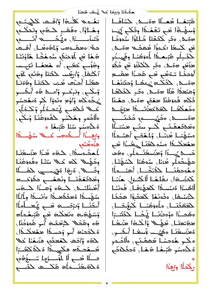هدَّمَنْ وَرَوهُا حُلا يُمعَّد هُعْدُ

وهُـارْٓا. ٥هُمۡم كُـرُهُٯ وتَعكُـم كَمْسَرٌ - يَزْلَى مِنْ كَمْ كَمْ أَنْسَـــهِ مِ حَلَّاه معصَّــه مع علاقا معْلَى أَقْــفْ هُمُا هُم لُوَحِنُكُم مُعَمَّضًا هُلْوُنُتْا. وِهُؤُسِمٍ كَتَكَــمٍ. أَه ـهْتَنَــُم لَـرُّــِــب ٱكْتَهْلَ. وَٱرْهَمَتْ لَحَكْتَنَا وَهُنَّعَ لِمُؤْتِي ههَّنُا أُحـْزَهـ هُـز - لكُنتَا وهَوَتَـا وُكْبٍ. وِتْبِكْسِو وُإِسْكُمْ هُءَ أَيْكُمْسِيو يُحْدَىٰكُمْ وَٱوُمْ دَنْدَوْا ۖ خُرِ دَسَقَصَصُرَ لَّكُمْ قُلْقُبُ هُتُدَءُلُو وَتَدْءُلُو. ەلَّادُەر وھَٰٓكْسُر ۚ كَدُّەوَمُّىُّا وُحَكَّى. ەڭدەمئىر مىنا ھۇمغا ھ وَوَصِدًا أَسْكُمُوهِ كَسِلًا سَهُسُلًا فَأُوهُنَّهِ<br>مُعدُّدمہُ). حدہ مُنْ¦ مِنَّمعُنُا وِكَهُما كَلَّه كَمَا مَتْنَا وَقُووَهُمُا وثحكاظَهُلْساً وتُعَمَّسُ حَكَّوْتَحَسُنَةً أَهْبِيُلْئِيكِ. ݣُبْعَة وَهِيْزًا ݣُبِيهِ مَكْهُمِمَا هُجْجُوْجِمَا وَٱسْلَا وِلَمْلَا أَمكَنُــا وَتَزَتَمَـــةَ قَتـــو لِمَعْــأَمَلَٰا وَسَوْرَهُ مِنْ مَكْسُدَة مَعْ مَبْسَفَاء هُه ومَّحْلا ۖ لِإِتَّعَدْهُ أُسٍ هُٔهوَحُلًا. ەَ كەْدە آمو ۋەسىدا ھەھكىدا. لمؤه وَأَتَتَ لَمُعَنَّمٍ فَنُمُنَا كَلًّا هُسمُحِـدُه هَنْـهِـداً هَـلاَهْتَـفَسْـرَا حسُلًا هَبِ لَا لِمُؤْسِسُوْهِ لَمْ حَوْرُهُهِ، ەَ دەممُشْــماُه ھُدْـــم دىئىـــم

هُبْتُهْمَا هُمِسْلَا «هُمْكِي حَمْدُكُمْ أَحْسَاهُمْ وَسِيْتُ أَشَى تَقْسُمُ أَوثَكَى يُنِ ههُما. وكَرِ لَكَفَعْلَا كَالِمُوْا مُعْوَدًا هْمِ كْسِعْا اخْدَوْا مِّعْصَكَ 50 مِنْ لْلَّذِبِلُرِ هَٰٓبُعِيكُمْ لِمُوَهُمُا وِفَي ـُرَرِ هاَهُم «ەَگە. ەكْر ݣْݣْخْلُو هْم خْكُو أُوْحِكُـا عُـٰٓءَهُـٰمٍ هُـٰمٍ هَٰحَـٰۥُا هِـمُّـــمِ لمَعْنَدُهِ بِمَعْمَدِهِ مَ يَمْسُوا وَحِنْتَنَعُمَا وَعِنْعِدًا مُثَلًا مِهَى مِنْ حَذِي الْمَحْمَدُ ثَلَاه فُوهُنُا همَّتْ «هَدْ. حمَّىنُا ەكمىلاشلىل ھۆكھۇسىدا ھۆجىد هة مسلم. وصُنْ مصر و مُكْسَب ەقدائىمقىنى كىر مىنى ھىئتىلل مَمْهُمْا هُزَ*نْـا. وَلَـَمْمْـــ أَ*هِنُــم*اُ*ا مَعَ انْمِيْهِ الْمُمْكَمَةِ مِنْهِ الْمُمْكَمَةِ مِنْ الْمَمْكَمَةِ مِنْ تَمِسْطِ حَمْسًا أَوْ هَذَهُ مَعْشَسْمِلُو . وَهُ تَ حهُىحُەلُرٖ هُزىُل مْدَهُمُل كَتَىٰهُتْلَ. معْمحمُنْكُمْ حَكْمُثْكُمْ. أُهِنُكُمْا كْحَتّْدِدْهَ لِمُحْمَلِكُمْ لِلْكُنْدِلِ. هِنْمُا لْلْهُىــٰٓ; | ەْسُىــەُ | كَعجَـٰبْهْــا بِهْعُمُـٰـا لِّسْتَمِمَّلَ. وَثَوْتُهُلْ كُعْضَرْوْا هِجُمْل ﻼَﺘَﻌَﺘُـَـٰلَ. ﻣﻠُّﻮَّﻣُﻨُــٰڶ ਖૅَّﺮَّﺘُـَـٰلَ. ەھْھىزُا ەۋەھزۇسا ئەھلە ككنَّتْ تْرا ههَتعتل. مَنْ ١٤ وَالْحَدَهُ الصَّطَ ەَھنىمگىُل ەھَيُمْ تُمْعَدَلَ أَمَدَّىبِ. ەڭر خەمئىل ھُھمَّىبْ وَلَاشُەر ەڭدەس ھۇسلا ھىللى ەدئىلائى رگداُ وَيْا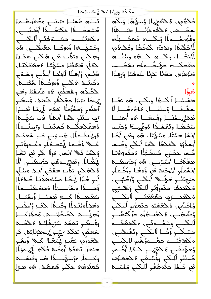هدَّمَنْ وَرَوهُا حُلا يُمعَّد هُعْدُ

سُــْ;ہ هَـمـُــا دَبْسُــ هوَهُ:هُــما هُتَىعُدُ ﴾ لا حكْتَعُدُ ﴾ أمُّحَتَسَبٍ. ەكمىنىشىم مىستەھئىر لاىكسى وَحُتْنَيْ أَنَّ أَوْ وَقَدَا حَقَيْكُمْ فَيَ مَنَّهُ وهُكُم مَكَمُــ; قُم هُكُم هَكْـ;! ِّكْمَلُ شَقَتْنَا مَمْكُتْـا ەَمھَـتَـكْتَـا. هُنُــهِ وُاهــُلا لُلُوْحُــل أَمكُب وِـمَّــةَبِ ەكىلُىك ھُكْب ۆُەۋكىگا ھَقْلىكَ. لمَكْمُ وهَعِنَّهِ 00 فَنُعُمُا وَسْع كْخْرَا بِبُبُرا حَعْلَكُمْ فِأَهْدَ. وَمَعَكْسِ أَهْلُومٍ وَحَقُّوْهِ أَلْمَاهُمْ عَلَى الْمَسْرَالَ رُبْ مِيلَيْنِ جَدًا أَبْجَلًا هُبَ مُجْمِيكًا ةهكككك كمكنئ وزببئهم ەُومُىڤىمال. ھَە ۋىي كَـر ۿَعكـَـدَ لَّكُمْ وَّشُـٰها لِنُتصَفِّلُو مِنْسُووُتُسُو وَّحْمَا ثَلا اسُم، هَواُا خُر شَى تَغْا لَهُ تُغْسِلُهُ الْمُدَّنِّيِّ مِنْهُم مِنْ الْمَسْرِ. ٱلْه هُكْلُهُكُمْ مُكْسَرَ هُكُفْ أَبِكَ هُمُلُل أَمِرِ هُـٰٓأَ لَٰٓحُـا مَمِّثَهِهِكُلّا حَٰـٰاهُ لِّا وَّحَــــدًا مَـمَّزْـــــزاً الْمَحْمَّدِيْــــماً ا مَحْمَدِ وَلَا كُلُّ هُدِمِنَا وَمُعْنَانَ. ەھْكماُەنْتُـْھاُلْ وِضَّـْكُلْ لَكْتَـٰ; وُۡلِـكَلِّـبِ وتَسعَك تَعمَّد سَرَّجِعُلَيْدَ هَٰذَهَبِ هُعِدُومٍ تَمَكُّمْ رَيِّسٍ يُ9ْعَيْدُائِكَمْ. ضُرِ لْمَعْدَوْهِ, عَمَّــ; إِنْتَعْـال كَــلا وُّـمُــرِ هنعرًا تعمّد أوصّد شَكْرَه لِيُحولَه وكمسولًا ووُسميًى الله الله وقبقه ا كُمِنُوهُ فَي اللَّذِ هُ عَمْدٌ. وَهُ مَعْ

ثَلاةُهِ. هَلْثُقَيْهَا وَسَؤُنَّةًا وَسُلَاةً هَكْسِي، هَجْعُوجُرُسُسا مِحْسِجْوُا وِفُزُهِ هُـــداًا وُلكـــــره كَـعكَــــزاْرَه لِمُادْكُلُما وِنَحْدْ; گُدْدُدُا وِثْكِرْهُ مِ لْمَامْشْكِلْ. وِكْمُدِهْ كُمْسَهُمْ وِمُعُبُدِهِ ەھّحكى ھەم ئىگىسىسى ھەتكىسى ەْبَعْتْو. جەمُلا تْبُرُلا مُحْمَدُ وَرَجِبُوْا ۿڔۏؙٛٳ همُسُمَّا أَحْدَهُ! وكُلِّي. هَه حَصًّا هِقَىدُ الرَّمِينُ الِّ وَاهُوهُ اللَّهُ اللَّهُ هْدَلِّكَ حَمْلُهِ وَوَّسْعَدُهُ مِنْ أَهْدَلُهُ مِنْ مَدَّمَعُها وِنَقْدُهُا هُوِفَيْ آلِ وَجَنَّب إِنَّمَا هِمَّتْلَا مِنَّهُتَا. ۞ه وقَعِ أَحُـا أَهلَمَوَ وَالْحَمَالِ الْمَاءُ أَسْلَحِ وَحَسَمًا كُنف بْدَّيْنِ كُنْدُ: أَلَّا هُجِّدُوَوْهُ لَيْلَ هفَفْقَا أَسُبُب ِ . هُ وَحْسَفَهِ إِنُعُمَلُو ٱلْمَوْتَىٰ ۚ وَۚ وَهُمَا ۚ وَوَّحُـٰهِ أَلْمَ حَوْجِئْنُـُو هُؤُسِلاً أَمْكَنَـعٍ وَٱخَبَّنِـعٍ. ەَ خَعْدَهُ: حَذُو; رَّى الْكَمِ ﴾ كَمْسَى ﴾ ة لمقدع حكمُقتَـــو لَا تكــــو وَلَمُنَّى وَلَا مَكْفَتُه حَدْهَتُ لِلْكَلِّ وۡحَۃُٮهُ ۖبِ ۚ هَ لَاهٗللہ هُوۡٓ ہٖ حَزۡ کُنۡـٰفَـٰبِ لَّاحْسِبِ وِسْمُّــەتُـبِ. ەكْتْتْكُلْــە حسَّنكُمْ وَّحُــا لَّاعْفَــع وتَعَّنكَــع . مكعرِّئُسُــم حقُـــموُخَّب لَّاسْكَـــمِ وَهوَمَفَسِ هَ لِمَعْيَى بِ لَكُمَا أَكْسَمَ كُس*لُلُو لِّأَحْكِمِ وَأَمَّدَهُم هَ حَقَّد*َءُه*ـ)*<br>هُم شَـمُّا حَدُّههُكُو لَ*أَحْكَـمٍ وَّلْمَسَـدَ*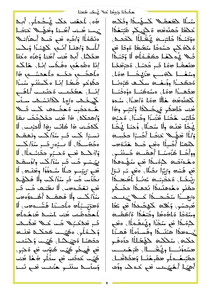هدَّمَدًا وَرُوهُا كَمِلاً لَمِعَه هَعْدًا

، وَهِ . بِأَحْقَبَ حَكْبَ فَيَحْدَمُو. أَبِ يْ هُـنِ أَهَٰـنا وِقْدُ لا يْتَوَـٰٓا ەنّقەْلُمْ ۋَاجْرە ھُم تْسْمْ أُمْعَزُاسْلا ٱلْمُسِمْ وْاهْتُنَا ٱتَّنَىٰ كُوْمُنُوا وُسْكَتَ هكَكا. أَبِهِ هُنِي أَهَٰنِا وَعِنُو وَعُدًا إِنَّا هِقُمْهُمْ هِ هُكُمْسٍ إِنَّا. هَالَكُمْ اة رمىشىملاه مىڭ رمىشىمل حكَّوْكُمْ هُبْعُدَا إِنْدَا مَكْسِنْتُو مُنْدُّرًا إِنْسَا. مَعَكَّمَنست هُجسَّنست أَلمَقَّب لكى مُكْسِد مُ مَنْ أَنْ مَا مَدَّا مَدَّاتِ مُكْسِدًا مِنْ مَدَّمَتِ هُـــوَدِيْنِ وَجَدِيْــوِي كَــبِ ثَــبِلا وَاهِعِنْكُمْ. هَٰا هُنِ حِنْكُرْحُكُ بِهَا لْكُمْحُـزْبُ هُا هُائِـبَ رَبُّوا لِّاحَرْبِـبٍ. لَٰا تسترا كُب ضَرِ مُآاكُب وتَعقَبُ ەكھًىسكان لا يەرەركىر مالاڭى وْأَأَهْلُكُمْ هُبِ وَحَسْرُ مِنْ وَالْمُسْمَأَلِ. لَٰا لَّكَسْبِ شَبْ كُمْ مُنْذَاكُمْتَ وَاوْسِقْتِهِ ثَّبِي رَيَٰٓ بِ حالاً مُنْدَوَٰٓوٗا وَثَعْلَـٰهِ . لَّا<br>نَكْلَفَ حَبَّ مُبْلَا كُبِي وَلَّا هَـٰكَهُـٰمُ ھَے تَعَڪَمُھَتَ. لَا تَعْتَبِ ڪَتَ کَمِ مْنْ أَكْسِبِ وِلَّا فَعِفْسِهِ أَهْسِمَةُوهِ و مْلَحْدَهَمْكِ هُزِبِ لِمَسْدِ هُزِجَْهُ وَالْمُ کُم شَمْکَکِلا کُما کُملا شَمُسِهَ وَكَمَلُو. وَهَيْبَ، هُجَكُمْ هُنْسُو حقها هَتِي حَمَلٍ هَيْ مِنْ وَحَسَبَ هْمِ قَيِيخُمْ رَجْهَةٍ سَرْرَهُ بِمُرْجَ وَهُوَ. ھُيُمَا كَمْكُلْبَ هُمْ مِدَٰلُمْ ﴿ هُدَٰفَ هُدَا اللَّهَ مِنْ وَمَمَارُكُمْ مَمْلُكُمْ وَأَمَلَكَ هُيَا لَيْسَعْ

مِّماً لِمُعْصَلاً كَسَيِّماً وَثَكْتُ مُحْمَدُ حَمِنُوهِ وَحَتَى كُلِّ هَبَّتَهُمَّا هَوِّتَنُـدًا خَاتِبَــة لِمَّقُـلِلًا لِكَحْمــدِ. هُ لَاهُ كُلِّ حَشَوْجًا مُعْيَمًا هُوِدًا هُم ثَــلا يُـْمــٰـضًا حققــهُـلُمْ لُا وِّتَـٰـٰدُاْ ھىُمھُل ھەُلم كُبِ حُصُل. ەَجْھَدْلم وسَمُــا لِهُمـــو مِنْهُــُـا مِهْلِ. هُحِفَّدُ أَلْ وِزُمِّضُوْ مِكْنَ هُزُوسًا هدَهِ أَرْ هُمَا. مِنْمَعُمُا مَوْمَحُمُا لْحَمِنُوهُوهُ هُالُّا هِوُمْ وُأَهْرُلَ مُدُومُ هُذِبِ خَاهِدُمٍ هَيْحُمِكُمُ وَٱتَّبِّمِ وَهَٰا حَلَّتِكَ هَجُمًا هَٰذَنُوا وِجَبُوا وَحَمَرُونَ لْمُحَا هْنُـهَ وِلًا مُحَـلًا. وُحمُـل لِمُحُـل وْاٰمُا شَوْكُلا تَنزِكُـا أَكْسَرُا حِكْبِــة لكَلْعَمُا أَكْبِلُا هِمْ شَهْد هْنُةِهِ ووأُحُــا هُزُهمُــا أُههُـــة حُسنُنُــو. مَعْدَآخَيهَ جَدَّمًا هُم سُؤُےهُا هْمِ فَسْهِ وَرُبُّ! نصُّلًا. هَمْمٍ مُـْ نَـوُل رِبُّحُا. هُجِدْتِهِ عَمِيًا لِمُعْبِدِيا حڤنُر معُّەٯٮٞىدُا ئىھـدُا ححَّــدُّر وتوسي مسلم المستمثل المستورة هُرِحِسُرٍ. وُلَمْلَاهَ لَكُمْحُمْدُا مْعِ عَعُلَ ومِّتَوْحًا ۚ هَٰاهُوهُا ۖ وِحُتِمُكُا ۚ هَٰاهُعۡمَـٰدِهَ كَبُمْكُل هُم مَكْزُل وهُعَفْداًل وهُم لَّكَ الْمَسْدُا وِهَسْرُه الْمُعْصَرُ حكْتُهِ . مَكْكُنُهُ كَهُعَالَمَا دَاهِقُـو هِمُودُّسُا وِيُقْسَالَ هُرْهُنْسَتْ حكَبُرْهُــولُرٍ مِتَصَرِهُنُــا وَمِتَحَمَّتُنَــا. أَهْيَا أَهْيَىسَ شَمَّ لَمَدهَا وَوَّد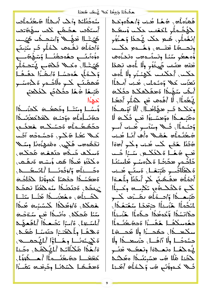هدَّمَنْ وَرَوهُا حَمَلا بِنَعْبِ هَعْدُا

مَدَدُّلُكُمْ وَٱلْحَد ٱلْحَلَّالِ هَمْعُنُدَلَّاصَ أَسْتَكَافَ هَشَفَّهِ كَلْفَ سَؤُوَّتَكَ حَيَّتْ الصَّمَاءُ وَاسْتَدَهُّتَ مَّيَّتَ ەُ/ئەلمە ئىقىمە خەلمە كېر مەينى ەۋەلىك جىھىمىلىك ۋىتىھى كىسى هَيُتْمَالَ. هَكَلًا فُكْشَبَ لَمُتَصَفَٰلُو وَحْدُمُلُو هُوصُلُمْ وَٱصْدُرَٰا حَقَّدَهُــا هُھمَّىۡے كُــُرٖ ہِٱلۡصُّــہِرٖ ہُكۡوَہِئَــُـر هَبُعُا هُمُا حثُكرتُم لِلُكْعِبُم تحلية وَّسْما وِمَتْما وِحُعِعُدُ كَحَزَمِكُم حەَنَــأەلَم ەۆمئـىغ كَتْكَلَّكْتَبْكُل حكْتُمْعَدْ مْكْسْكْدْ مْلْمْتْكْمْمْ كْتْݣَا كْتْݣَا 7ْݣُلْو. ݣْحْشْدْقْتْ أَكْتْ تتَّقَّمُوما كَتْلِي. وهْلِغُوْوَلَا وِسًلا ەمىكى كىلەھ مىھىم ھُمكىن. ەڭدُاُو ھُىمُا ھُعا وُسْدە ەُنفُـعا. ەكسىزلە ۆ/ۈشەئسلى لىكسىكى. ەَمىفَسُىمَا حِثْمِمْا مُدووَّلْ لِكَاحُـ يْهِمْمْ. وْمِنْدِيْبُوْا بْمُمْحَمْرًا تْعِجْمْ لْحَصّْبْلُهُ ، مَعْعَبُنِيكُمْ هَتُبِ مَتْسَلَّ هَعَكُمْ. هَاوْهَكُمَّا گُمْسُبُمِهْ هُمْاً مَمْا هَٰحكَٰهٗ. هرُسُمُّا هُم مَّـقَحْمَة أَلْمَحْبَوْطٍ. هُ/سُرًا حُصَّمِكَ ٱلْمَكْسِمِكَ هَ كَلَّهُ لَم مُحَمَّدَ احتَمِمُ لَم مُعَكِّدٌ . ة/هُدُا هَكْلُلئَه أَلْمَكْهُمْ. وَحَيْط حُقْفَ لِمَحْمَدُ وَلَمْ أَحْسَنُوْذَا. ةهفَعفَا للسَّمَلُ وحُرِثَتِهِ عَقَبَةُ

كُعِنْوَهُمْ وَهُمُ لَا مُحْتَوِينَ وَالْحَكَاهِ وَيَحْكُمْ للؤَشْمأَى لمَكْمْلِب بْلَكْتَ وْمِعْكُمْ إِنْهُمْلُوِ. هُيْعِ حَكْبَ يُحْجُلُ وَجِيَّؤُو وتصدةًا مُتَسِنٍ وَهُسومٍ حَكْسَت ؤُەھھُر مَمْنَا وِلْسَلَىـەھب ەلْكـزُەھ هْنْه هنّْس كَيْخُوْرٍ وِلَّا ـأَوْت نَبْعَدْا حكْمٍ، أَحكْمَتِ كَلِهُمْتُو وِلَا لِمُوت تُعَذِّمِي كَلًّا وَوَشُولِي. هُـزِي أَبْــِهِ أَمْ أَىكُب سَكْبِيدًا هَمفَكِكُمْ حَثَكُمْ لَحْقَه أَا. لَا أَقَّمَتْ هُمْ لَكُمُلُو أَنْتَغُلُ وتَحْكُمْ كَبِ هِجَاهُـالِ. أَلَّا آوُحْكُا ەھَبُعماً ەوَھسَىزۇا ھَے ئَكْتَ لَّا وَحَتَّــملًا. ثَـــلا ومُآســرٍ هُـــزما أُســرِ شَعْلُـه أَنْ هُـمْــه لا هُوَ أَنْـا هُــزـ ادُّطًا هَتَم كُما هُن، وِكُمْ أَ30ْ ھُے ہُمُا ہُکنُکُم. مَعْ اُ حُـَـ كَاكُــەر ھكَـٰٓدُــا ەۡـلاّەممُــرٖ هَٰاممُنُـا ەَحْھَٰلَاتُمْسِرِ هُبْتُهْسَا. ەَسْتَى هُسْنِت أَحمُلُهَ هَفَيْشَيْنَ لَكُو أَيضُلَأُ وِلَمْعَهَا كُمْ هَكْشُكْتُهُمْ يَكْبُسُهُ وِكُسِبْلًا هَّبُـمــدًا وُائـــدُاُهَ بِمَــتَوِبِ كُنْـــوِ لْمُحْمِلًا هُزُنزَلًا حَزِقْدَا مُعُتَمُّدًا. حِدْاتِسُمُا وَّحْدِهُدُا حِكْمِدًا هَنْزِيزًا حَقَّومِكْدُ لِمَكَسَرُ الْمَحْمَدُ الْمُحَمَّدُ مكْتَعَبُّدًا . حَقَّدَ أَرَّا وَلَّا هُدَّدَةً حِسُّوحُــا وِلًا ٱاهُــا. حَزْمِعْــدًا وِلًا لِمُعطَط الْمِسْطَةَا وِتَعطَيْبَ هَنُب للحَذلم الْهُلَّا هُــ هسَّبِنُسُمَّا وهَلِسُمَّا ثَــلا كُــدووُّنُـم ۞ وَ حَــدُءُلُهَ أَهَــزلم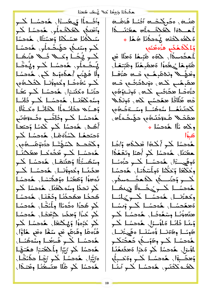هدَّمَنْ وَرَوهُا حُلا يُمعَّد هُعْدُ

وَأَثْــٰهَـٰمَآا وَيَحْسَنْتِنَا فِي الْمَصَـٰلِ كُنْـَــو وَٱهْلِكُمْ لِلظَّلْاشُمْلُورِ. هُوَجِسًا كُلِّو مَّىكِكُلًا هِمَّىكُلًا وَهِمَّتْلًا. هُوصُلًا لْحُرِ وِمَعَلِّهُ حَهَّنَّدَمُّرِ. هُءَحَسَّا كْـرِ هُكُـا وكَــا فَــا فَنْمَـا لَمُحْــٰمِلُرِ. حُمْحِمُـا كُــٰرِ وِيُّمَثْـا وِلًا قُوْنَى أَحْذُوبُكَ كَلِي. خُوصِبُه كُــرِ مُـُأُودُــا وِخُووِرُّنَــاً ۖ كَثُكَــْ رُهُورِ دَّتُما هَكْتُمْ!. هُهدسُا كُلْو مَعْلَم وِمُوَحْكُنَا. هُوَدِسُا كُلِّرٍ دَّاسًا وَهِـزَى حَمَّانُـماُ! حَمَّاتْـا مَحْـةُلَا. ھُە*ھسُــا* كُـــرِ وِكُاتُّىــع ەڤــەۋە*ئى* أَهُيم. هُوصِبًا لَحْدٍ كَوْسًا وُحِبْعَاً ەُحىّحىل خىنُّەھْل ھُەحسُل كُــر وكْثْحَــدْ حْمَّهْتْـا حَزْهَقْمَــرْهُى: هُوصيُا كُلِّ هُدُوكُما مِعَكِّسُا ومَمُعُصُّدًا وَهِتُنَهْلَ. هُوصُباً كُــر هدًىنُــا وِكُمووُّنْــا. هُمحسُــا كُــو ئُەھۈُا ۆقھڭىل ەۆھگتشىل. ھُەھسُل كُمْ تَحَدُّلُ مِنَّهَ حُعُثًا. ۖ هُهَ حَسًا ۖ كُمْ لَ هُحكُل مهُحكُنُل وِكُفَّتْل. هُءحسُل لْحَرِ هَدُا وَدُوْالٍ وِلَمُتْمَا. هُوصِمُا كُو كَمْرًا وَهِدًا كَإِنْهَا. هُوصُل لْكُو كُبُووُا وَيَكْتَعْا. هُوصسًا كُـُـو فُنُوهُا وِفَرْهُم هُم مُقْا وهُم هَارّْا. هُوصُط كُــرِ قَـنهُــا وِمُوهُـلٍ. هُوصِمُا كُرِ رَبِّ! وِلَمَحْقَدَا هِمَّتَهْا هَرْيُول. هُوصُمُا كُلِّ رُضًا حَكَمْتُمْا. هُوصِمُا ۚ كُر هُمُّا هِنُسِعُنُا وِهُتِـٰٓءُا .

هنُــهٰ . هکُـرجُــدُـــه ٱدُـُــا هُـزهُــه أمْكِنْتُ مِنْ وَالْمَكْنُ وَالْمَرْكَبُ وَالْمُسَلَّمَ هُ لِحَقَّهِ لَحُدْثَهِ ۖ لِمُحَجَّدُكُمْ ۚ هُمَا ﴾ وَالْمُذَهَبَ وَزُوهُنَا وَ ـْمَـدُومِيكَا). كَادَة وَ كَبُرْهَا وَهْلَا هُمْ هُقُومًا ﴾ هُدَوْا هُعدَهُ اهْمِهُ ﴾ [الله عنه عنه]. وهُدُ اللَّهُ وَلَاهُبِعُسَمِ دَـِرَ هُتُوْسَلُ هكَبِمُبِ لَدْهِ وَوْلِلاَخْرَشُومِ شَـهِ دَّوْهَـا مكْرَضُـمْ كْــْرْهِ وْ وْسْلَهُرْهُ مْ دْهِ هَٰلَاتْلِ همُحسَّمٍ لَاهِ ـِ هُوِنْتُمْلا كحنّْسُهُ لم مُعْمَدُ لم وَمَّتْ حَدَّة و ههَضَلا هُـهوَحُنُنوهُ مِهْنفُـه أو . ولاه عْلَا هُوصِمَا \* ۿڔۏؙٛٳ هُوصُل كُـرٍ أَكْـرُهُ| هَكَـدُه وَاصُـلُّ هِعَمْنُا. هُوصِمًا كُرِ أُهِمًا وِنَقْهُدًا هُوِفَى أَنْ هُوَجِيْنَا لَكُمْ جَزْوَيْنَا وحُكْمًا وَحَكُمًا هُولَمْتَدُمَا. هُوصُبًا المستمرئ المستكرب كم المستمصف وكعتُرْسا. هُوصسًا كُلِّي حَاسًا ەھككىئىل گەكئىل كىر ۋىئىل هنّهؤُنُــا وِسْعُودُــا. هُوجِسًا كُنْبِ وَّىنُا دَّانُا ەْلمُنَّىلْ. ھُەدىنُا كْتَر هَوِسُل وِهَٰۃتَ أَوْمَعُنَـٰلَ هَيَّ أَسْلَ هُەدسُـا كُــرِ وِهُوَّــكُو كَـعثَنكـر لمُؤْتَىٰ. هُءَجِبًا لَكُنْ هَٰذَا هُجَكْتُمُلُلُ وُهكُ-إِوَّا. هُـُمحِسُــا كُـــو وِهَيْـــوِبُهِ لِمُقَدِّدَتَهُو. هُوَجِسًا كُلِّي أَسُلًا